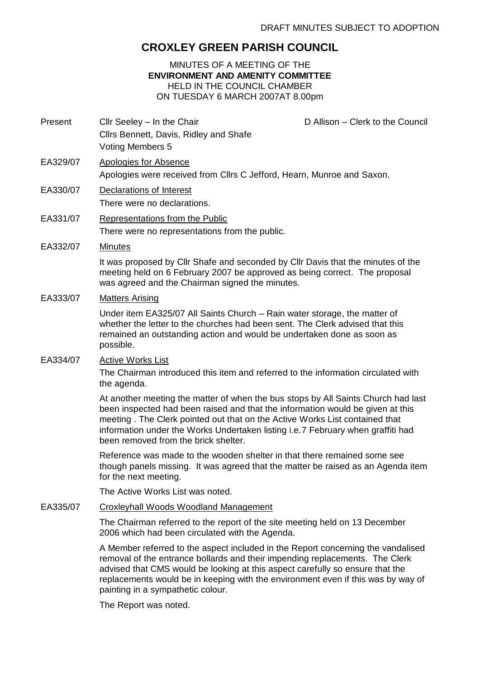# **CROXLEY GREEN PARISH COUNCIL**

## MINUTES OF A MEETING OF THE **ENVIRONMENT AND AMENITY COMMITTEE** HELD IN THE COUNCIL CHAMBER ON TUESDAY 6 MARCH 2007AT 8.00pm

Present Cllr Seeley – In the Chair Chair Chair D Allison – Clerk to the Council Cllrs Bennett, Davis, Ridley and Shafe Voting Members 5

- EA329/07 Apologies for Absence Apologies were received from Cllrs C Jefford, Hearn, Munroe and Saxon.
- EA330/07 Declarations of Interest There were no declarations.
- EA331/07 Representations from the Public There were no representations from the public.
- EA332/07 Minutes

It was proposed by Cllr Shafe and seconded by Cllr Davis that the minutes of the meeting held on 6 February 2007 be approved as being correct. The proposal was agreed and the Chairman signed the minutes.

## EA333/07 Matters Arising

Under item EA325/07 All Saints Church – Rain water storage, the matter of whether the letter to the churches had been sent. The Clerk advised that this remained an outstanding action and would be undertaken done as soon as possible.

## EA334/07 Active Works List

The Chairman introduced this item and referred to the information circulated with the agenda.

At another meeting the matter of when the bus stops by All Saints Church had last been inspected had been raised and that the information would be given at this meeting . The Clerk pointed out that on the Active Works List contained that information under the Works Undertaken listing i.e.7 February when graffiti had been removed from the brick shelter.

Reference was made to the wooden shelter in that there remained some see though panels missing. It was agreed that the matter be raised as an Agenda item for the next meeting.

The Active Works List was noted.

# EA335/07 Croxleyhall Woods Woodland Management

The Chairman referred to the report of the site meeting held on 13 December 2006 which had been circulated with the Agenda.

A Member referred to the aspect included in the Report concerning the vandalised removal of the entrance bollards and their impending replacements. The Clerk advised that CMS would be looking at this aspect carefully so ensure that the replacements would be in keeping with the environment even if this was by way of painting in a sympathetic colour.

The Report was noted.